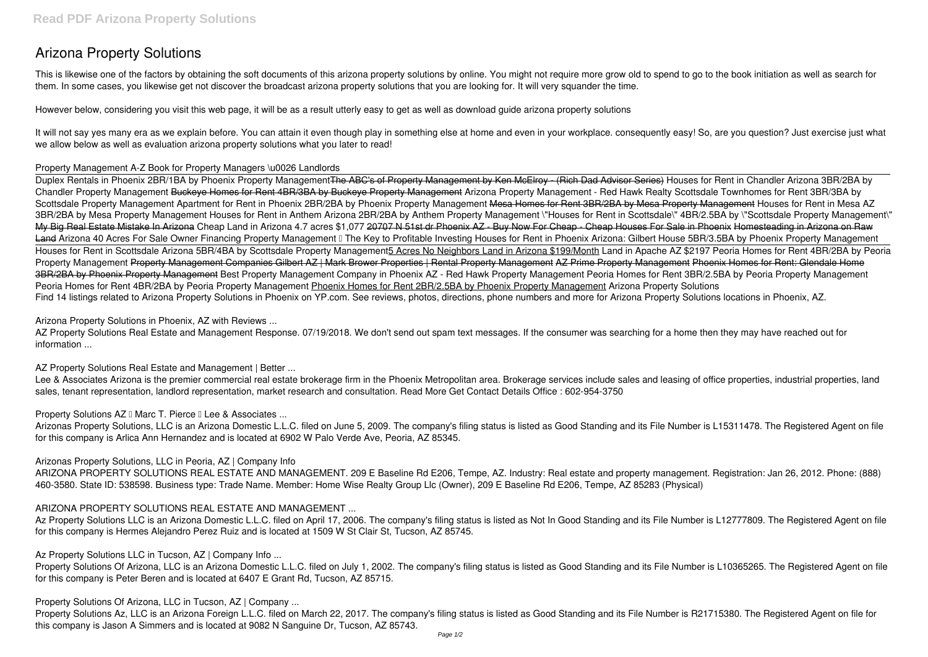# **Arizona Property Solutions**

This is likewise one of the factors by obtaining the soft documents of this **arizona property solutions** by online. You might not require more grow old to spend to go to the book initiation as well as search for them. In some cases, you likewise get not discover the broadcast arizona property solutions that you are looking for. It will very squander the time.

However below, considering you visit this web page, it will be as a result utterly easy to get as well as download guide arizona property solutions

It will not say yes many era as we explain before. You can attain it even though play in something else at home and even in your workplace. consequently easy! So, are you question? Just exercise just what we allow below as well as evaluation **arizona property solutions** what you later to read!

## **Property Management A-Z Book for Property Managers \u0026 Landlords**

Duplex Rentals in Phoenix 2BR/1BA by Phoenix Property ManagementThe ABC's of Property Management by Ken McElroy - (Rich Dad Advisor Series) Houses for Rent in Chandler Arizona 3BR/2BA by *Chandler Property Management* Buckeye Homes for Rent 4BR/3BA by Buckeye Property Management *Arizona Property Management - Red Hawk Realty Scottsdale Townhomes for Rent 3BR/3BA by* Scottsdale Property Management Apartment for Rent in Phoenix 2BR/2BA by Phoenix Property Management Mesa Homes for Rent 3BR/2BA by Mesa Property Management Houses for Rent in Mesa AZ 3BR/2BA by Mesa Property Management Houses for Rent in Anthem Arizona 2BR/2BA by Anthem Property Management \"Houses for Rent in Scottsdale\" 4BR/2.5BA by \"Scottsdale Property Management\" My Big Real Estate Mistake In Arizona *Cheap Land in Arizona 4.7 acres \$1,077* 20707 N 51st dr Phoenix AZ - Buy Now For Cheap - Cheap Houses For Sale in Phoenix Homesteading in Arizona on Raw Land Arizona 40 Acres For Sale Owner Financing Property Management II The Key to Profitable Investing Houses for Rent in Phoenix Arizona: Gilbert House 5BR/3.5BA by Phoenix Property Management Houses for Rent in Scottsdale Arizona 5BR/4BA by Scottsdale Property Management5 Acres No Neighbors Land in Arizona \$199/Month **Land in Apache AZ \$2197** Peoria Homes for Rent 4BR/2BA by Peoria Property Management Property Management Companies Gilbert AZ | Mark Brower Properties | Rental Property Management AZ Prime Property Management Phoenix Homes for Rent: Glendale Home 3BR/2BA by Phoenix Property Management **Best Property Management Company in Phoenix AZ - Red Hawk Property Management** *Peoria Homes for Rent 3BR/2.5BA by Peoria Property Management Peoria Homes for Rent 4BR/2BA by Peoria Property Management* Phoenix Homes for Rent 2BR/2.5BA by Phoenix Property Management **Arizona Property Solutions** Find 14 listings related to Arizona Property Solutions in Phoenix on YP.com. See reviews, photos, directions, phone numbers and more for Arizona Property Solutions locations in Phoenix, AZ.

AZ Property Solutions Real Estate and Management Response. 07/19/2018. We don't send out spam text messages. If the consumer was searching for a home then they may have reached out for information ...

Lee & Associates Arizona is the premier commercial real estate brokerage firm in the Phoenix Metropolitan area. Brokerage services include sales and leasing of office properties, industrial properties, land sales, tenant representation, landlord representation, market research and consultation. Read More Get Contact Details Office : 602-954-3750

**Property Solutions AZ II Marc T. Pierce II Lee & Associates ...** 

Az Property Solutions LLC is an Arizona Domestic L.L.C. filed on April 17, 2006. The company's filing status is listed as Not In Good Standing and its File Number is L12777809. The Registered Agent on file for this company is Hermes Alejandro Perez Ruiz and is located at 1509 W St Clair St, Tucson, AZ 85745.

Property Solutions Of Arizona, LLC is an Arizona Domestic L.L.C. filed on July 1, 2002. The company's filing status is listed as Good Standing and its File Number is L10365265. The Registered Agent on file for this company is Peter Beren and is located at 6407 E Grant Rd, Tucson, AZ 85715.

## **Arizona Property Solutions in Phoenix, AZ with Reviews ...**

**AZ Property Solutions Real Estate and Management | Better ...**

Arizonas Property Solutions, LLC is an Arizona Domestic L.L.C. filed on June 5, 2009. The company's filing status is listed as Good Standing and its File Number is L15311478. The Registered Agent on file for this company is Arlica Ann Hernandez and is located at 6902 W Palo Verde Ave, Peoria, AZ 85345.

## **Arizonas Property Solutions, LLC in Peoria, AZ | Company Info**

ARIZONA PROPERTY SOLUTIONS REAL ESTATE AND MANAGEMENT. 209 E Baseline Rd E206, Tempe, AZ. Industry: Real estate and property management. Registration: Jan 26, 2012. Phone: (888) 460-3580. State ID: 538598. Business type: Trade Name. Member: Home Wise Realty Group Llc (Owner), 209 E Baseline Rd E206, Tempe, AZ 85283 (Physical)

## **ARIZONA PROPERTY SOLUTIONS REAL ESTATE AND MANAGEMENT ...**

**Az Property Solutions LLC in Tucson, AZ | Company Info ...**

**Property Solutions Of Arizona, LLC in Tucson, AZ | Company ...**

Property Solutions Az, LLC is an Arizona Foreign L.L.C. filed on March 22, 2017. The company's filing status is listed as Good Standing and its File Number is R21715380. The Registered Agent on file for this company is Jason A Simmers and is located at 9082 N Sanguine Dr, Tucson, AZ 85743.